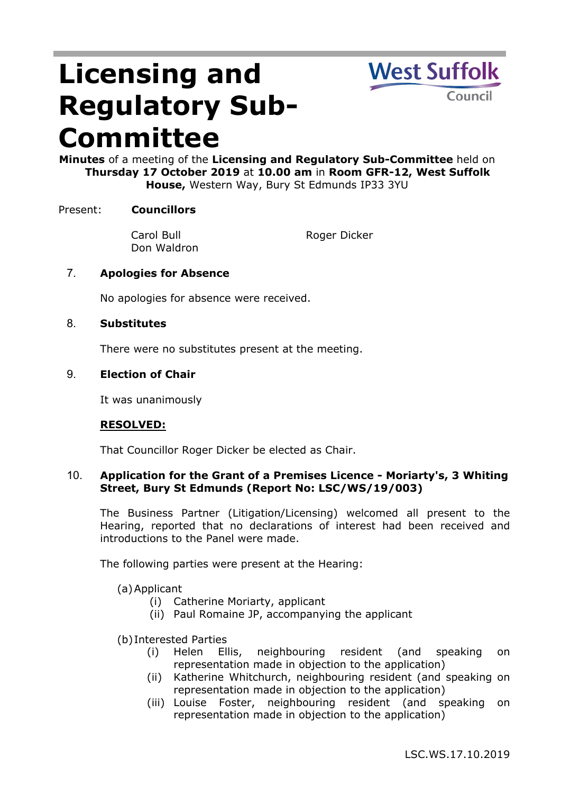# **Licensing and Regulatory Sub-Committee**



**Minutes** of a meeting of the **Licensing and Regulatory Sub-Committee** held on **Thursday 17 October 2019** at **10.00 am** in **Room GFR-12, West Suffolk House,** Western Way, Bury St Edmunds IP33 3YU

## Present: **Councillors**

Carol Bull Don Waldron

Roger Dicker

# 7. **Apologies for Absence**

No apologies for absence were received.

## 8. **Substitutes**

There were no substitutes present at the meeting.

## 9. **Election of Chair**

It was unanimously

## **RESOLVED:**

That Councillor Roger Dicker be elected as Chair.

## 10. **Application for the Grant of a Premises Licence - Moriarty's, 3 Whiting Street, Bury St Edmunds (Report No: LSC/WS/19/003)**

The Business Partner (Litigation/Licensing) welcomed all present to the Hearing, reported that no declarations of interest had been received and introductions to the Panel were made.

The following parties were present at the Hearing:

(a)Applicant

- (i) Catherine Moriarty, applicant
- (ii) Paul Romaine JP, accompanying the applicant

### (b)Interested Parties

- (i) Helen Ellis, neighbouring resident (and speaking on representation made in objection to the application)
- (ii) Katherine Whitchurch, neighbouring resident (and speaking on representation made in objection to the application)
- (iii) Louise Foster, neighbouring resident (and speaking on representation made in objection to the application)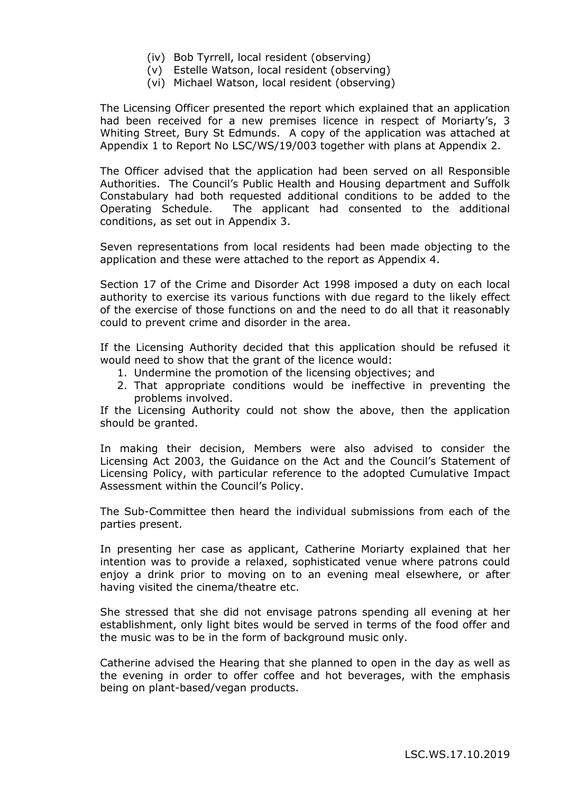- (iv) Bob Tyrrell, local resident (observing)
- (v) Estelle Watson, local resident (observing)
- (vi) Michael Watson, local resident (observing)

The Licensing Officer presented the report which explained that an application had been received for a new premises licence in respect of Moriarty's, 3 Whiting Street, Bury St Edmunds. A copy of the application was attached at Appendix 1 to Report No LSC/WS/19/003 together with plans at Appendix 2.

The Officer advised that the application had been served on all Responsible Authorities. The Council's Public Health and Housing department and Suffolk Constabulary had both requested additional conditions to be added to the Operating Schedule. The applicant had consented to the additional conditions, as set out in Appendix 3.

Seven representations from local residents had been made objecting to the application and these were attached to the report as Appendix 4.

Section 17 of the Crime and Disorder Act 1998 imposed a duty on each local authority to exercise its various functions with due regard to the likely effect of the exercise of those functions on and the need to do all that it reasonably could to prevent crime and disorder in the area.

If the Licensing Authority decided that this application should be refused it would need to show that the grant of the licence would:

- 1. Undermine the promotion of the licensing objectives; and
- 2. That appropriate conditions would be ineffective in preventing the problems involved.

If the Licensing Authority could not show the above, then the application should be granted.

In making their decision, Members were also advised to consider the Licensing Act 2003, the Guidance on the Act and the Council's Statement of Licensing Policy, with particular reference to the adopted Cumulative Impact Assessment within the Council's Policy.

The Sub-Committee then heard the individual submissions from each of the parties present.

In presenting her case as applicant, Catherine Moriarty explained that her intention was to provide a relaxed, sophisticated venue where patrons could enjoy a drink prior to moving on to an evening meal elsewhere, or after having visited the cinema/theatre etc.

She stressed that she did not envisage patrons spending all evening at her establishment, only light bites would be served in terms of the food offer and the music was to be in the form of background music only.

Catherine advised the Hearing that she planned to open in the day as well as the evening in order to offer coffee and hot beverages, with the emphasis being on plant-based/vegan products.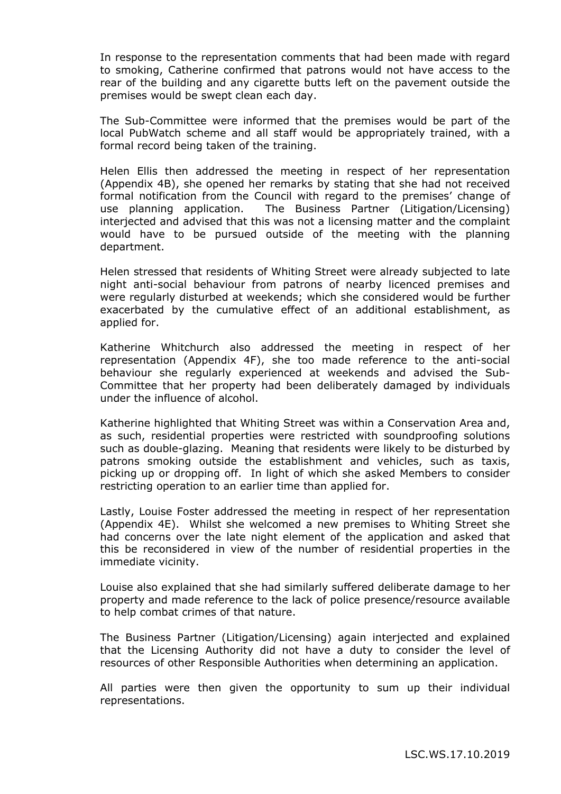In response to the representation comments that had been made with regard to smoking, Catherine confirmed that patrons would not have access to the rear of the building and any cigarette butts left on the pavement outside the premises would be swept clean each day.

The Sub-Committee were informed that the premises would be part of the local PubWatch scheme and all staff would be appropriately trained, with a formal record being taken of the training.

Helen Ellis then addressed the meeting in respect of her representation (Appendix 4B), she opened her remarks by stating that she had not received formal notification from the Council with regard to the premises' change of use planning application. The Business Partner (Litigation/Licensing) interjected and advised that this was not a licensing matter and the complaint would have to be pursued outside of the meeting with the planning department.

Helen stressed that residents of Whiting Street were already subjected to late night anti-social behaviour from patrons of nearby licenced premises and were regularly disturbed at weekends; which she considered would be further exacerbated by the cumulative effect of an additional establishment, as applied for.

Katherine Whitchurch also addressed the meeting in respect of her representation (Appendix 4F), she too made reference to the anti-social behaviour she regularly experienced at weekends and advised the Sub-Committee that her property had been deliberately damaged by individuals under the influence of alcohol.

Katherine highlighted that Whiting Street was within a Conservation Area and, as such, residential properties were restricted with soundproofing solutions such as double-glazing. Meaning that residents were likely to be disturbed by patrons smoking outside the establishment and vehicles, such as taxis, picking up or dropping off. In light of which she asked Members to consider restricting operation to an earlier time than applied for.

Lastly, Louise Foster addressed the meeting in respect of her representation (Appendix 4E). Whilst she welcomed a new premises to Whiting Street she had concerns over the late night element of the application and asked that this be reconsidered in view of the number of residential properties in the immediate vicinity.

Louise also explained that she had similarly suffered deliberate damage to her property and made reference to the lack of police presence/resource available to help combat crimes of that nature.

The Business Partner (Litigation/Licensing) again interjected and explained that the Licensing Authority did not have a duty to consider the level of resources of other Responsible Authorities when determining an application.

All parties were then given the opportunity to sum up their individual representations.